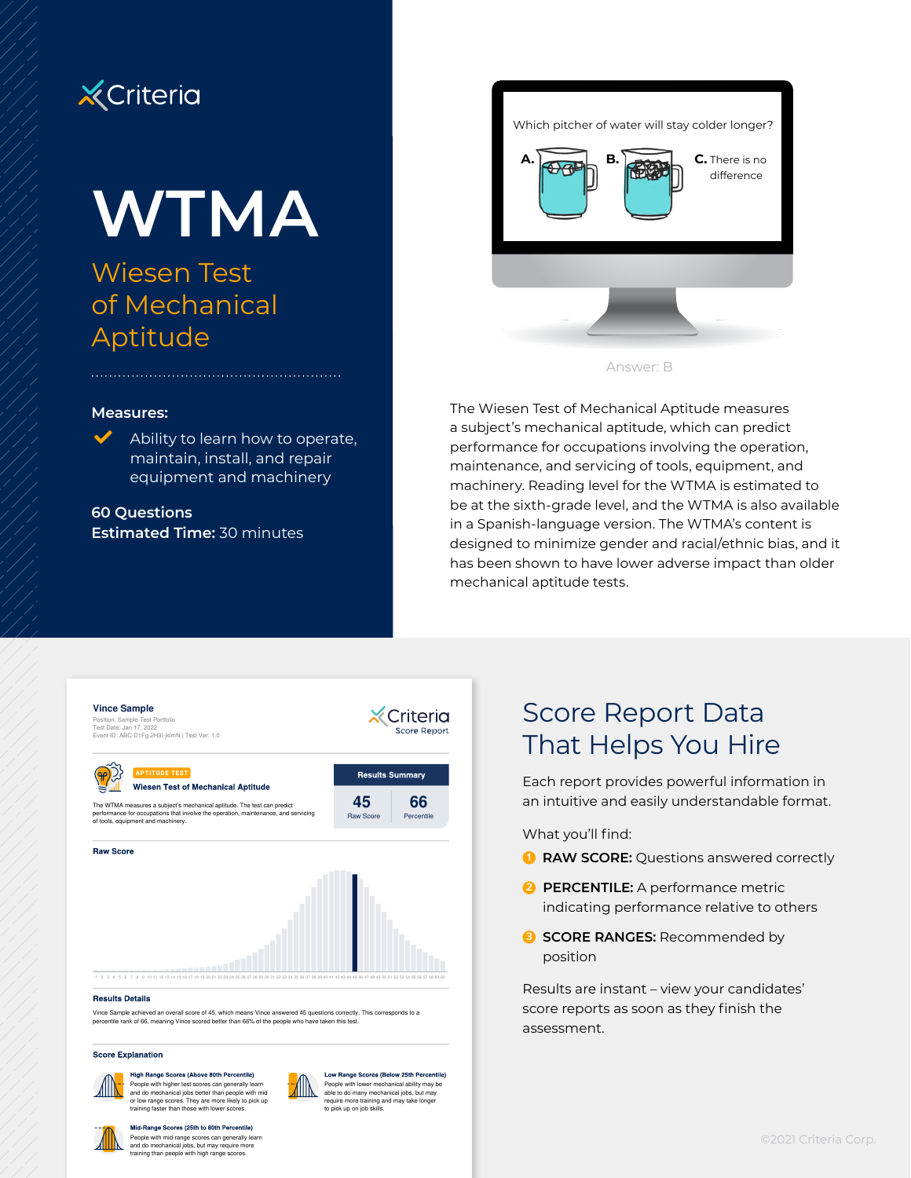

# **WTMA**

# Wiesen Test of Mechanical Aptitude

#### **Measures:**

Ability to learn how to operate, maintain, install, and repair equipment and machinery

**60 Questions Estimated Time:** 30 minutes



The Wiesen Test of Mechanical Aptitude measures a subject's mechanical aptitude, which can predict performance for occupations involving the operation, maintenance, and servicing of tools, equipment, and machinery. Reading level for the WTMA is estimated to be at the sixth-grade level, and the WTMA is also available in a Spanish-language version. The WTMA's content is designed to minimize gender and racial/ethnic bias, and it has been shown to have lower adverse impact than older mechanical aptitude tests.



**Score Explanation** 

#### High Range Scores (Above 80th Percentile)

People with higher test scores can generally learn and do mechanical jobs better than people with mid or low range scores. They are more likely to pick up training faster than those with lower scores.



Low Range Scores (Below 25th Percentile) People with lower mechanical ability may be able to do many mechanical jobs, but may require more training and may take longer to pick up on job skills.

# Score Report Data That Helps You Hire

Each report provides powerful information in an intuitive and easily understandable format.

What you'll find:

- **1 RAW SCORE:** Questions answered correctly
- **2 PERCENTILE:** A performance metric indicating performance relative to others
- **3 SCORE RANGES:** Recommended by position

Results are instant – view your candidates' score reports as soon as they finish the assessment.



Mid-Range Scores (25th to 80th Percentile) People with mid-range scores can generally learn and do mechanical jobs, but may require more training than people with high range scores.